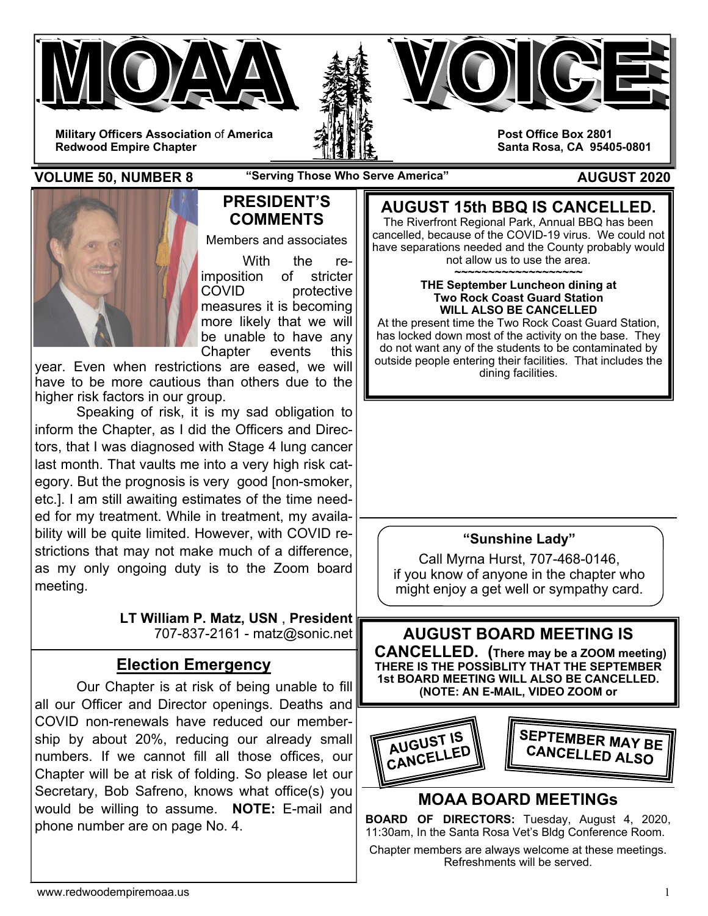



**Post Office Box 2801 Santa Rosa, CA 95405-0801** 

**Military Officers Association** of **America Redwood Empire Chapter** 

### **VOLUME 50, NUMBER 8** "Serving Those Who Serve America" AUGUST 2020



## **PRESIDENT'S COMMENTS**

Members and associates

 With the reimposition of stricter COVID protective measures it is becoming more likely that we will be unable to have any Chapter events this

year. Even when restrictions are eased, we will have to be more cautious than others due to the higher risk factors in our group.

 Speaking of risk, it is my sad obligation to inform the Chapter, as I did the Officers and Directors, that I was diagnosed with Stage 4 lung cancer last month. That vaults me into a very high risk category. But the prognosis is very good [non-smoker, etc.]. I am still awaiting estimates of the time needed for my treatment. While in treatment, my availability will be quite limited. However, with COVID restrictions that may not make much of a difference, as my only ongoing duty is to the Zoom board meeting.

> **LT William P. Matz, USN** , **President** 707-837-2161 - matz@sonic.net

# **Election Emergency**

 Our Chapter is at risk of being unable to fill all our Officer and Director openings. Deaths and COVID non-renewals have reduced our membership by about 20%, reducing our already small numbers. If we cannot fill all those offices, our Chapter will be at risk of folding. So please let our Secretary, Bob Safreno, knows what office(s) you would be willing to assume. **NOTE:** E-mail and phone number are on page No. 4.

**AUGUST 15th BBQ IS CANCELLED.**  The Riverfront Regional Park, Annual BBQ has been cancelled, because of the COVID-19 virus. We could not have separations needed and the County probably would not allow us to use the area.

**~~~~~~~~~~~~~~~~~~~** 

#### **THE September Luncheon dining at Two Rock Coast Guard Station WILL ALSO BE CANCELLED**

At the present time the Two Rock Coast Guard Station, has locked down most of the activity on the base. They do not want any of the students to be contaminated by outside people entering their facilities. That includes the dining facilities.

## **"Sunshine Lady"**

Call Myrna Hurst, 707-468-0146, if you know of anyone in the chapter who might enjoy a get well or sympathy card.



# **MOAA BOARD MEETINGs**

**BOARD OF DIRECTORS:** Tuesday, August 4, 2020, 11:30am, In the Santa Rosa Vet's Bldg Conference Room.

Chapter members are always welcome at these meetings. Refreshments will be served.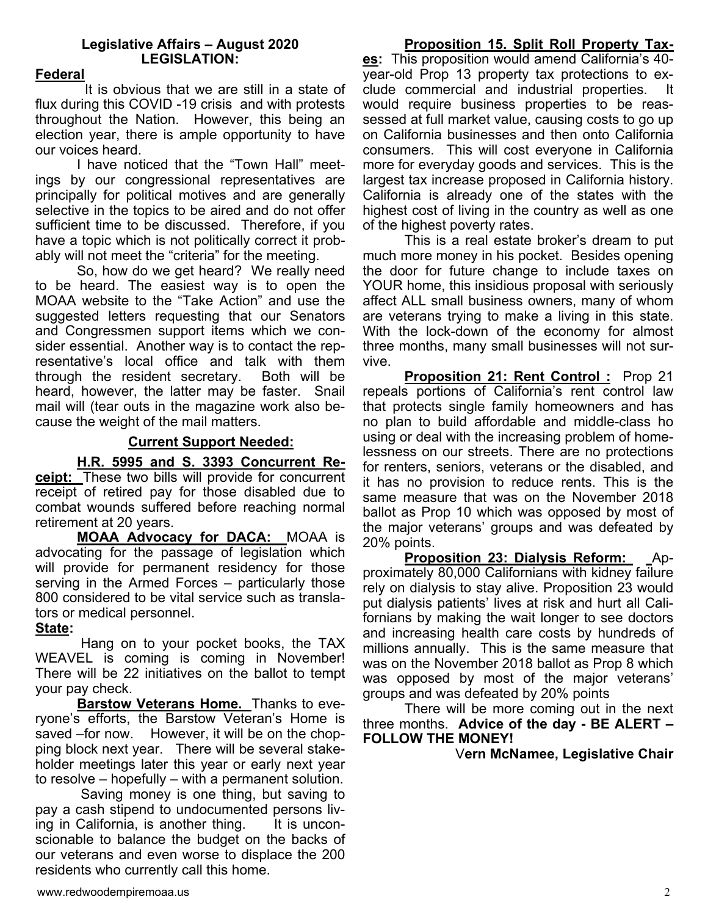### **Legislative Affairs – August 2020 LEGISLATION:**

### **Federal**

It is obvious that we are still in a state of flux during this COVID -19 crisis and with protests throughout the Nation. However, this being an election year, there is ample opportunity to have our voices heard.

I have noticed that the "Town Hall" meetings by our congressional representatives are principally for political motives and are generally selective in the topics to be aired and do not offer sufficient time to be discussed. Therefore, if you have a topic which is not politically correct it probably will not meet the "criteria" for the meeting.

So, how do we get heard? We really need to be heard. The easiest way is to open the MOAA website to the "Take Action" and use the suggested letters requesting that our Senators and Congressmen support items which we consider essential. Another way is to contact the representative's local office and talk with them through the resident secretary. Both will be heard, however, the latter may be faster. Snail mail will (tear outs in the magazine work also because the weight of the mail matters.

### **Current Support Needed:**

**H.R. 5995 and S. 3393 Concurrent Receipt:** These two bills will provide for concurrent receipt of retired pay for those disabled due to combat wounds suffered before reaching normal retirement at 20 years.

**MOAA Advocacy for DACA:** MOAA is advocating for the passage of legislation which will provide for permanent residency for those serving in the Armed Forces – particularly those 800 considered to be vital service such as translators or medical personnel.

### **State:**

 Hang on to your pocket books, the TAX WEAVEL is coming is coming in November! There will be 22 initiatives on the ballot to tempt your pay check.

**Barstow Veterans Home.** Thanks to everyone's efforts, the Barstow Veteran's Home is saved –for now. However, it will be on the chopping block next year. There will be several stakeholder meetings later this year or early next year to resolve – hopefully – with a permanent solution.

 Saving money is one thing, but saving to pay a cash stipend to undocumented persons living in California, is another thing. It is unconscionable to balance the budget on the backs of our veterans and even worse to displace the 200 residents who currently call this home.

# **Proposition 15. Split Roll Property Tax-**

**es:** This proposition would amend California's 40 year-old Prop 13 property tax protections to exclude commercial and industrial properties. would require business properties to be reassessed at full market value, causing costs to go up on California businesses and then onto California consumers. This will cost everyone in California more for everyday goods and services. This is the largest tax increase proposed in California history. California is already one of the states with the highest cost of living in the country as well as one of the highest poverty rates.

This is a real estate broker's dream to put much more money in his pocket. Besides opening the door for future change to include taxes on YOUR home, this insidious proposal with seriously affect ALL small business owners, many of whom are veterans trying to make a living in this state. With the lock-down of the economy for almost three months, many small businesses will not survive.

**Proposition 21: Rent Control :** Prop 21 repeals portions of California's rent control law that protects single family homeowners and has no plan to build affordable and middle-class ho using or deal with the increasing problem of homelessness on our streets. There are no protections for renters, seniors, veterans or the disabled, and it has no provision to reduce rents. This is the same measure that was on the November 2018 ballot as Prop 10 which was opposed by most of the major veterans' groups and was defeated by 20% points.

**Proposition 23: Dialysis Reform:** Approximately 80,000 Californians with kidney failure rely on dialysis to stay alive. Proposition 23 would put dialysis patients' lives at risk and hurt all Californians by making the wait longer to see doctors and increasing health care costs by hundreds of millions annually. This is the same measure that was on the November 2018 ballot as Prop 8 which was opposed by most of the major veterans' groups and was defeated by 20% points

There will be more coming out in the next three months. **Advice of the day - BE ALERT – FOLLOW THE MONEY!**

V**ern McNamee, Legislative Chair**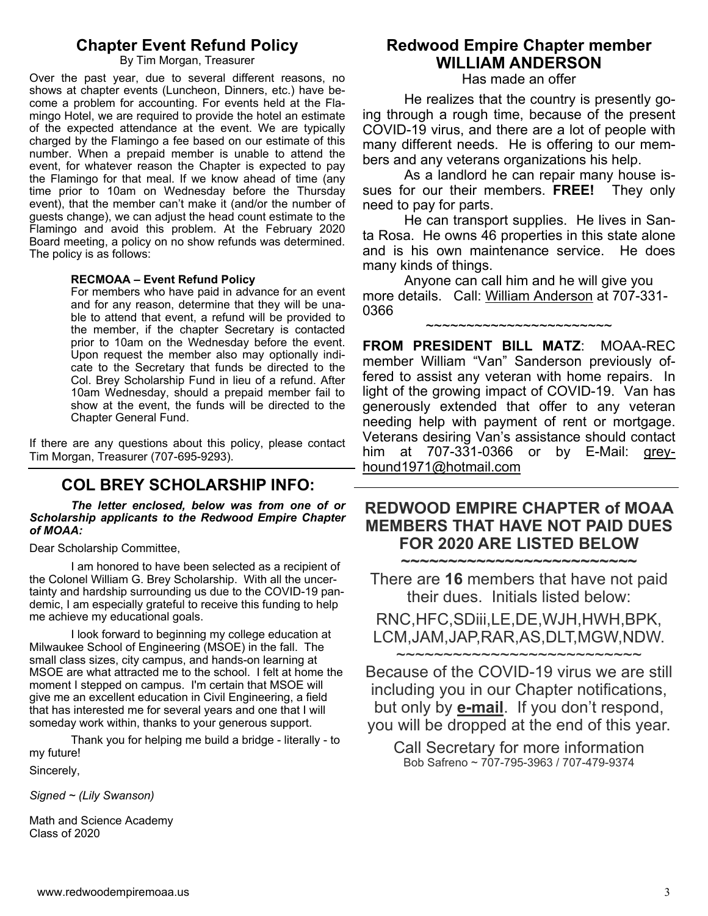### **Chapter Event Refund Policy**

By Tim Morgan, Treasurer

Over the past year, due to several different reasons, no shows at chapter events (Luncheon, Dinners, etc.) have become a problem for accounting. For events held at the Flamingo Hotel, we are required to provide the hotel an estimate of the expected attendance at the event. We are typically charged by the Flamingo a fee based on our estimate of this number. When a prepaid member is unable to attend the event, for whatever reason the Chapter is expected to pay the Flamingo for that meal. If we know ahead of time (any time prior to 10am on Wednesday before the Thursday event), that the member can't make it (and/or the number of guests change), we can adjust the head count estimate to the Flamingo and avoid this problem. At the February 2020 Board meeting, a policy on no show refunds was determined. The policy is as follows:

#### **RECMOAA – Event Refund Policy**

For members who have paid in advance for an event and for any reason, determine that they will be unable to attend that event, a refund will be provided to the member, if the chapter Secretary is contacted prior to 10am on the Wednesday before the event. Upon request the member also may optionally indicate to the Secretary that funds be directed to the Col. Brey Scholarship Fund in lieu of a refund. After 10am Wednesday, should a prepaid member fail to show at the event, the funds will be directed to the Chapter General Fund.

If there are any questions about this policy, please contact Tim Morgan, Treasurer (707-695-9293).

## **COL BREY SCHOLARSHIP INFO:**

*The letter enclosed, below was from one of or Scholarship applicants to the Redwood Empire Chapter of MOAA:* 

Dear Scholarship Committee,

 I am honored to have been selected as a recipient of the Colonel William G. Brey Scholarship. With all the uncertainty and hardship surrounding us due to the COVID-19 pandemic, I am especially grateful to receive this funding to help me achieve my educational goals.

 I look forward to beginning my college education at Milwaukee School of Engineering (MSOE) in the fall. The small class sizes, city campus, and hands-on learning at MSOE are what attracted me to the school. I felt at home the moment I stepped on campus. I'm certain that MSOE will give me an excellent education in Civil Engineering, a field that has interested me for several years and one that I will someday work within, thanks to your generous support.

 Thank you for helping me build a bridge - literally - to my future!

Sincerely,

*Signed ~ (Lily Swanson)* 

Math and Science Academy Class of 2020

# **Redwood Empire Chapter member WILLIAM ANDERSON**

Has made an offer

 He realizes that the country is presently going through a rough time, because of the present COVID-19 virus, and there are a lot of people with many different needs. He is offering to our members and any veterans organizations his help.

 As a landlord he can repair many house issues for our their members. **FREE!** They only need to pay for parts.

 He can transport supplies. He lives in Santa Rosa. He owns 46 properties in this state alone and is his own maintenance service. He does many kinds of things.

 Anyone can call him and he will give you more details. Call: William Anderson at 707-331- 0366

~~~~~~~~~~~~~~~~~~~~~~~

**FROM PRESIDENT BILL MATZ**: MOAA-REC member William "Van" Sanderson previously offered to assist any veteran with home repairs. In light of the growing impact of COVID-19. Van has generously extended that offer to any veteran needing help with payment of rent or mortgage. Veterans desiring Van's assistance should contact him at 707-331-0366 or by E-Mail: greyhound1971@hotmail.com

#### **REDWOOD EMPIRE CHAPTER of MOAA MEMBERS THAT HAVE NOT PAID DUES FOR 2020 ARE LISTED BELOW ~~~~~~~~~~~~~~~~~~~~~~~~~**

There are **16** members that have not paid their dues. Initials listed below:

RNC,HFC,SDiii,LE,DE,WJH,HWH,BPK, LCM,JAM,JAP,RAR,AS,DLT,MGW,NDW.

~~~~~~~~~~~~~~~~~~~~~~~~~~

Because of the COVID-19 virus we are still including you in our Chapter notifications, but only by **e-mail**. If you don't respond, you will be dropped at the end of this year.

Call Secretary for more information Bob Safreno ~ 707-795-3963 / 707-479-9374